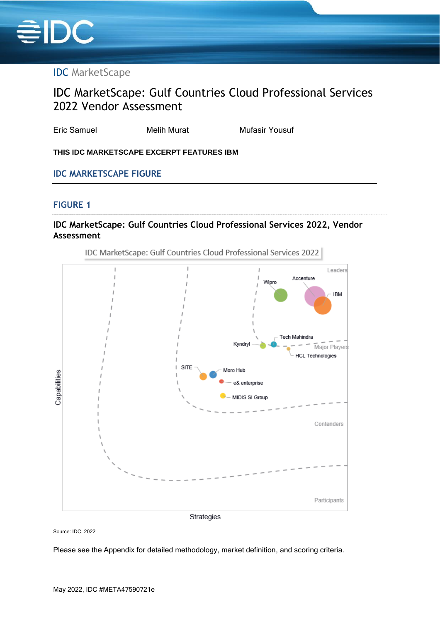

# IDC MarketScape

# IDC MarketScape: Gulf Countries Cloud Professional Services 2022 Vendor Assessment

Eric Samuel **Melih Murat** Mufasir Yousuf

**THIS IDC MARKETSCAPE EXCERPT FEATURES IBM**

### **IDC MARKETSCAPE FIGURE**

#### **FIGURE 1**

# **IDC MarketScape: Gulf Countries Cloud Professional Services 2022, Vendor Assessment**



Source: IDC, 2022

Please see the Appendix for detailed methodology, market definition, and scoring criteria.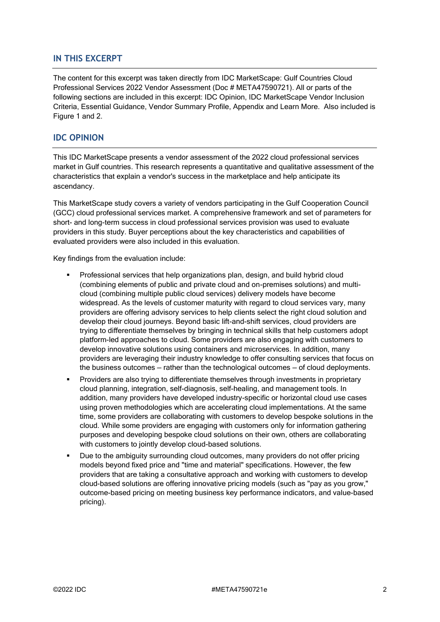## **IN THIS EXCERPT**

The content for this excerpt was taken directly from IDC MarketScape: Gulf Countries Cloud Professional Services 2022 Vendor Assessment (Doc # META47590721). All or parts of the following sections are included in this excerpt: IDC Opinion, IDC MarketScape Vendor Inclusion Criteria, Essential Guidance, Vendor Summary Profile, Appendix and Learn More. Also included is Figure 1 and 2.

#### **IDC OPINION**

This IDC MarketScape presents a vendor assessment of the 2022 cloud professional services market in Gulf countries. This research represents a quantitative and qualitative assessment of the characteristics that explain a vendor's success in the marketplace and help anticipate its ascendancy.

This MarketScape study covers a variety of vendors participating in the Gulf Cooperation Council (GCC) cloud professional services market. A comprehensive framework and set of parameters for short- and long-term success in cloud professional services provision was used to evaluate providers in this study. Buyer perceptions about the key characteristics and capabilities of evaluated providers were also included in this evaluation.

Key findings from the evaluation include:

- Professional services that help organizations plan, design, and build hybrid cloud (combining elements of public and private cloud and on-premises solutions) and multicloud (combining multiple public cloud services) delivery models have become widespread. As the levels of customer maturity with regard to cloud services vary, many providers are offering advisory services to help clients select the right cloud solution and develop their cloud journeys. Beyond basic lift-and-shift services, cloud providers are trying to differentiate themselves by bringing in technical skills that help customers adopt platform-led approaches to cloud. Some providers are also engaging with customers to develop innovative solutions using containers and microservices. In addition, many providers are leveraging their industry knowledge to offer consulting services that focus on the business outcomes — rather than the technological outcomes — of cloud deployments.
- Providers are also trying to differentiate themselves through investments in proprietary cloud planning, integration, self-diagnosis, self-healing, and management tools. In addition, many providers have developed industry-specific or horizontal cloud use cases using proven methodologies which are accelerating cloud implementations. At the same time, some providers are collaborating with customers to develop bespoke solutions in the cloud. While some providers are engaging with customers only for information gathering purposes and developing bespoke cloud solutions on their own, others are collaborating with customers to jointly develop cloud-based solutions.
- Due to the ambiguity surrounding cloud outcomes, many providers do not offer pricing models beyond fixed price and "time and material" specifications. However, the few providers that are taking a consultative approach and working with customers to develop cloud-based solutions are offering innovative pricing models (such as "pay as you grow," outcome-based pricing on meeting business key performance indicators, and value-based pricing).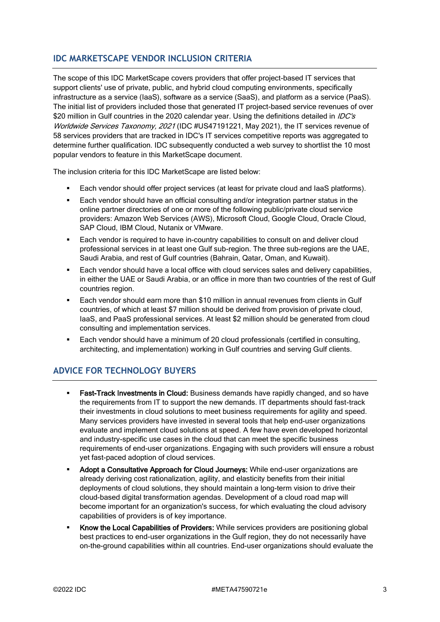# **IDC MARKETSCAPE VENDOR INCLUSION CRITERIA**

The scope of this IDC MarketScape covers providers that offer project-based IT services that support clients' use of private, public, and hybrid cloud computing environments, specifically infrastructure as a service (IaaS), software as a service (SaaS), and platform as a service (PaaS). The initial list of providers included those that generated IT project-based service revenues of over \$20 million in Gulf countries in the 2020 calendar year. Using the definitions detailed in *IDC's* Worldwide Services Taxonomy, 2021 (IDC #US47191221, May 2021), the IT services revenue of 58 services providers that are tracked in IDC's IT services competitive reports was aggregated to determine further qualification. IDC subsequently conducted a web survey to shortlist the 10 most popular vendors to feature in this MarketScape document.

The inclusion criteria for this IDC MarketScape are listed below:

- Each vendor should offer project services (at least for private cloud and laaS platforms).
- Each vendor should have an official consulting and/or integration partner status in the online partner directories of one or more of the following public/private cloud service providers: Amazon Web Services (AWS), Microsoft Cloud, Google Cloud, Oracle Cloud, SAP Cloud, IBM Cloud, Nutanix or VMware.
- Each vendor is required to have in-country capabilities to consult on and deliver cloud professional services in at least one Gulf sub-region. The three sub-regions are the UAE, Saudi Arabia, and rest of Gulf countries (Bahrain, Qatar, Oman, and Kuwait).
- Each vendor should have a local office with cloud services sales and delivery capabilities. in either the UAE or Saudi Arabia, or an office in more than two countries of the rest of Gulf countries region.
- Each vendor should earn more than \$10 million in annual revenues from clients in Gulf countries, of which at least \$7 million should be derived from provision of private cloud, IaaS, and PaaS professional services. At least \$2 million should be generated from cloud consulting and implementation services.
- Each vendor should have a minimum of 20 cloud professionals (certified in consulting, architecting, and implementation) working in Gulf countries and serving Gulf clients.

# **ADVICE FOR TECHNOLOGY BUYERS**

- **Fast-Track Investments in Cloud:** Business demands have rapidly changed, and so have the requirements from IT to support the new demands. IT departments should fast-track their investments in cloud solutions to meet business requirements for agility and speed. Many services providers have invested in several tools that help end-user organizations evaluate and implement cloud solutions at speed. A few have even developed horizontal and industry-specific use cases in the cloud that can meet the specific business requirements of end-user organizations. Engaging with such providers will ensure a robust yet fast-paced adoption of cloud services.
- **Adopt a Consultative Approach for Cloud Journeys:** While end-user organizations are already deriving cost rationalization, agility, and elasticity benefits from their initial deployments of cloud solutions, they should maintain a long-term vision to drive their cloud-based digital transformation agendas. Development of a cloud road map will become important for an organization's success, for which evaluating the cloud advisory capabilities of providers is of key importance.
- **Know the Local Capabilities of Providers:** While services providers are positioning global best practices to end-user organizations in the Gulf region, they do not necessarily have on-the-ground capabilities within all countries. End-user organizations should evaluate the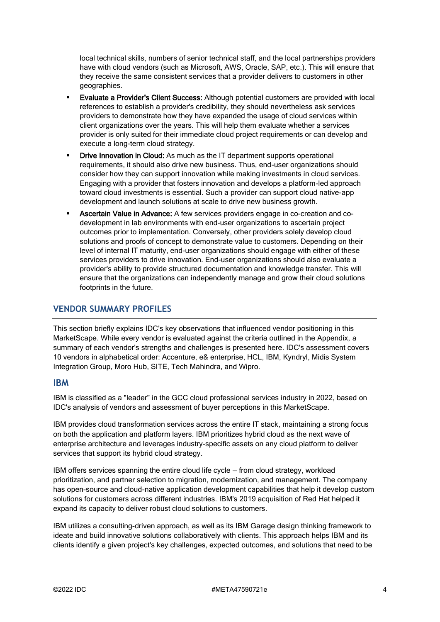local technical skills, numbers of senior technical staff, and the local partnerships providers have with cloud vendors (such as Microsoft, AWS, Oracle, SAP, etc.). This will ensure that they receive the same consistent services that a provider delivers to customers in other geographies.

- **Evaluate a Provider's Client Success: Although potential customers are provided with local** references to establish a provider's credibility, they should nevertheless ask services providers to demonstrate how they have expanded the usage of cloud services within client organizations over the years. This will help them evaluate whether a services provider is only suited for their immediate cloud project requirements or can develop and execute a long-term cloud strategy.
- **Drive Innovation in Cloud:** As much as the IT department supports operational requirements, it should also drive new business. Thus, end-user organizations should consider how they can support innovation while making investments in cloud services. Engaging with a provider that fosters innovation and develops a platform-led approach toward cloud investments is essential. Such a provider can support cloud native-app development and launch solutions at scale to drive new business growth.
- Ascertain Value in Advance: A few services providers engage in co-creation and codevelopment in lab environments with end-user organizations to ascertain project outcomes prior to implementation. Conversely, other providers solely develop cloud solutions and proofs of concept to demonstrate value to customers. Depending on their level of internal IT maturity, end-user organizations should engage with either of these services providers to drive innovation. End-user organizations should also evaluate a provider's ability to provide structured documentation and knowledge transfer. This will ensure that the organizations can independently manage and grow their cloud solutions footprints in the future.

### **VENDOR SUMMARY PROFILES**

This section briefly explains IDC's key observations that influenced vendor positioning in this MarketScape. While every vendor is evaluated against the criteria outlined in the Appendix, a summary of each vendor's strengths and challenges is presented here. IDC's assessment covers 10 vendors in alphabetical order: Accenture, e& enterprise, HCL, IBM, Kyndryl, Midis System Integration Group, Moro Hub, SITE, Tech Mahindra, and Wipro.

#### **IBM**

IBM is classified as a "leader" in the GCC cloud professional services industry in 2022, based on IDC's analysis of vendors and assessment of buyer perceptions in this MarketScape.

IBM provides cloud transformation services across the entire IT stack, maintaining a strong focus on both the application and platform layers. IBM prioritizes hybrid cloud as the next wave of enterprise architecture and leverages industry-specific assets on any cloud platform to deliver services that support its hybrid cloud strategy.

IBM offers services spanning the entire cloud life cycle — from cloud strategy, workload prioritization, and partner selection to migration, modernization, and management. The company has open-source and cloud-native application development capabilities that help it develop custom solutions for customers across different industries. IBM's 2019 acquisition of Red Hat helped it expand its capacity to deliver robust cloud solutions to customers.

IBM utilizes a consulting-driven approach, as well as its IBM Garage design thinking framework to ideate and build innovative solutions collaboratively with clients. This approach helps IBM and its clients identify a given project's key challenges, expected outcomes, and solutions that need to be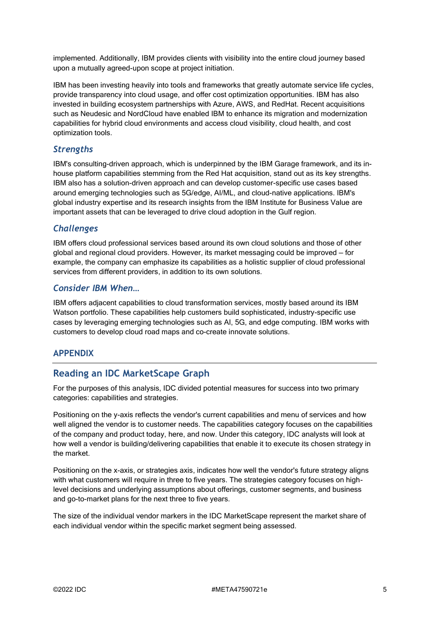implemented. Additionally, IBM provides clients with visibility into the entire cloud journey based upon a mutually agreed-upon scope at project initiation.

IBM has been investing heavily into tools and frameworks that greatly automate service life cycles, provide transparency into cloud usage, and offer cost optimization opportunities. IBM has also invested in building ecosystem partnerships with Azure, AWS, and RedHat. Recent acquisitions such as Neudesic and NordCloud have enabled IBM to enhance its migration and modernization capabilities for hybrid cloud environments and access cloud visibility, cloud health, and cost optimization tools.

#### *Strengths*

IBM's consulting-driven approach, which is underpinned by the IBM Garage framework, and its inhouse platform capabilities stemming from the Red Hat acquisition, stand out as its key strengths. IBM also has a solution-driven approach and can develop customer-specific use cases based around emerging technologies such as 5G/edge, AI/ML, and cloud-native applications. IBM's global industry expertise and its research insights from the IBM Institute for Business Value are important assets that can be leveraged to drive cloud adoption in the Gulf region.

#### *Challenges*

IBM offers cloud professional services based around its own cloud solutions and those of other global and regional cloud providers. However, its market messaging could be improved — for example, the company can emphasize its capabilities as a holistic supplier of cloud professional services from different providers, in addition to its own solutions.

### *Consider IBM When…*

IBM offers adjacent capabilities to cloud transformation services, mostly based around its IBM Watson portfolio. These capabilities help customers build sophisticated, industry-specific use cases by leveraging emerging technologies such as AI, 5G, and edge computing. IBM works with customers to develop cloud road maps and co-create innovate solutions.

#### **APPENDIX**

#### **Reading an IDC MarketScape Graph**

For the purposes of this analysis, IDC divided potential measures for success into two primary categories: capabilities and strategies.

Positioning on the y-axis reflects the vendor's current capabilities and menu of services and how well aligned the vendor is to customer needs. The capabilities category focuses on the capabilities of the company and product today, here, and now. Under this category, IDC analysts will look at how well a vendor is building/delivering capabilities that enable it to execute its chosen strategy in the market.

Positioning on the x-axis, or strategies axis, indicates how well the vendor's future strategy aligns with what customers will require in three to five years. The strategies category focuses on highlevel decisions and underlying assumptions about offerings, customer segments, and business and go-to-market plans for the next three to five years.

The size of the individual vendor markers in the IDC MarketScape represent the market share of each individual vendor within the specific market segment being assessed.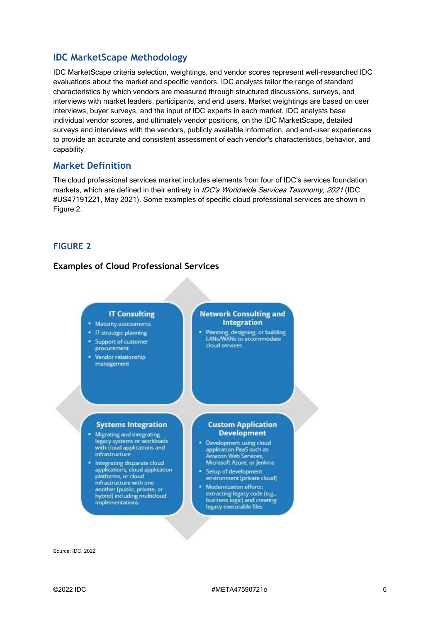# **IDC MarketScape Methodology**

IDC MarketScape criteria selection, weightings, and vendor scores represent well-researched IDC evaluations about the market and specific vendors. IDC analysts tailor the range of standard characteristics by which vendors are measured through structured discussions, surveys, and interviews with market leaders, participants, and end users. Market weightings are based on user interviews, buyer surveys, and the input of IDC experts in each market. IDC analysts base individual vendor scores, and ultimately vendor positions, on the IDC MarketScape, detailed surveys and interviews with the vendors, publicly available information, and end-user experiences to provide an accurate and consistent assessment of each vendor's characteristics, behavior, and capability.

# **Market Definition**

The cloud professional services market includes elements from four of IDC's services foundation markets, which are defined in their entirety in *IDC's Worldwide Services Taxonomy, 2021* (IDC #US47191221, May 2021). Some examples of specific cloud professional services are shown in Figure 2.

### **FIGURE 2**

### **Examples of Cloud Professional Services**



Source: IDC, 2022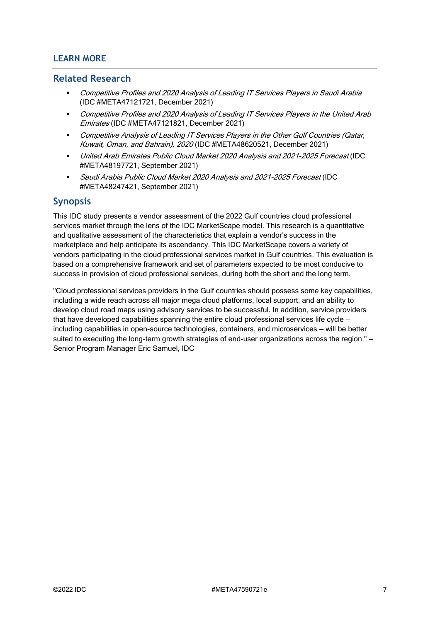# **LEARN MORE**

#### **Related Research**

- Competitive Profiles and 2020 Analysis of Leading IT Services Players in Saudi Arabia (IDC #META47121721, December 2021)
- Competitive Profiles and 2020 Analysis of Leading IT Services Players in the United Arab Emirates (IDC #META47121821, December 2021)
- **Competitive Analysis of Leading IT Services Players in the Other Gulf Countries (Qatar,** Kuwait, Oman, and Bahrain), 2020 (IDC #META48620521, December 2021)
- United Arab Emirates Public Cloud Market 2020 Analysis and 2021-2025 Forecast (IDC #META48197721, September 2021)
- Saudi Arabia Public Cloud Market 2020 Analysis and 2021-2025 Forecast (IDC #META48247421, September 2021)

### **Synopsis**

This IDC study presents a vendor assessment of the 2022 Gulf countries cloud professional services market through the lens of the IDC MarketScape model. This research is a quantitative and qualitative assessment of the characteristics that explain a vendor's success in the marketplace and help anticipate its ascendancy. This IDC MarketScape covers a variety of vendors participating in the cloud professional services market in Gulf countries. This evaluation is based on a comprehensive framework and set of parameters expected to be most conducive to success in provision of cloud professional services, during both the short and the long term.

"Cloud professional services providers in the Gulf countries should possess some key capabilities, including a wide reach across all major mega cloud platforms, local support, and an ability to develop cloud road maps using advisory services to be successful. In addition, service providers that have developed capabilities spanning the entire cloud professional services life cycle including capabilities in open-source technologies, containers, and microservices — will be better suited to executing the long-term growth strategies of end-user organizations across the region." -Senior Program Manager Eric Samuel, IDC